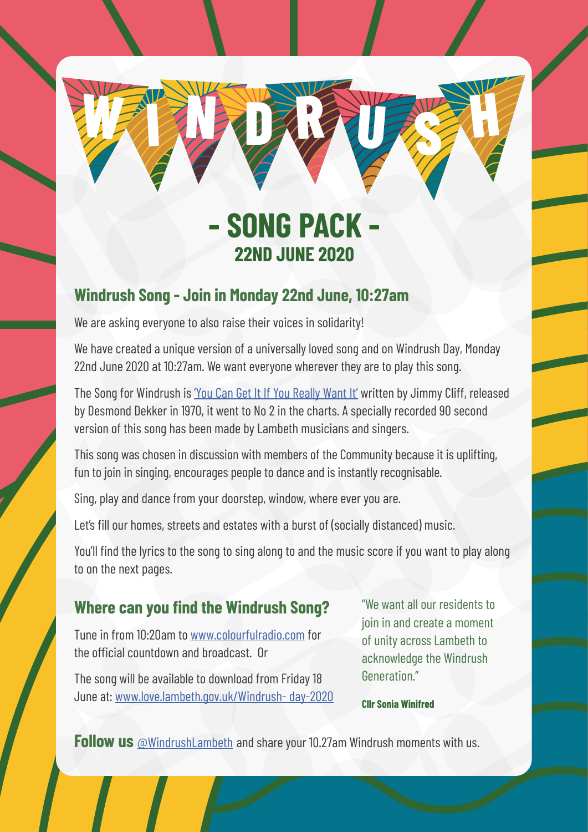# **I<sup>N</sup> D <sup>R</sup> W <sup>U</sup> S H**

# **- SONG PACK - 22ND JUNE 2020**

### **Windrush Song - Join in Monday 22nd June, 10:27am**

We are asking everyone to also raise their voices in solidarity!

We have created a unique version of a universally loved song and on Windrush Day, Monday 22nd June 2020 at 10:27am. We want everyone wherever they are to play this song.

The Song for Windrush is 'You Can Get It If You Really Want It' written by Jimmy Cliff, released by Desmond Dekker in 1970, it went to No 2 in the charts. A specially recorded 90 second version of this song has been made by Lambeth musicians and singers.

This song was chosen in discussion with members of the Community because it is uplifting, fun to join in singing, encourages people to dance and is instantly recognisable.

Sing, play and dance from your doorstep, window, where ever you are.

Let's fill our homes, streets and estates with a burst of (socially distanced) music.

You'll find the lyrics to the song to sing along to and the music score if you want to play along to on the next pages.

### **Where can you find the Windrush Song?**

Tune in from 10:20am to www.colourfulradio.com for the official countdown and broadcast. Or

The song will be available to download from Friday 18 June at: www.love.lambeth.gov.uk/Windrush- day-2020

"We want all our residents to join in and create a moment of unity across Lambeth to acknowledge the Windrush Generation."

**Cllr Sonia Winifred**

**Follow us** @WindrushLambeth and share your 10.27am Windrush moments with us.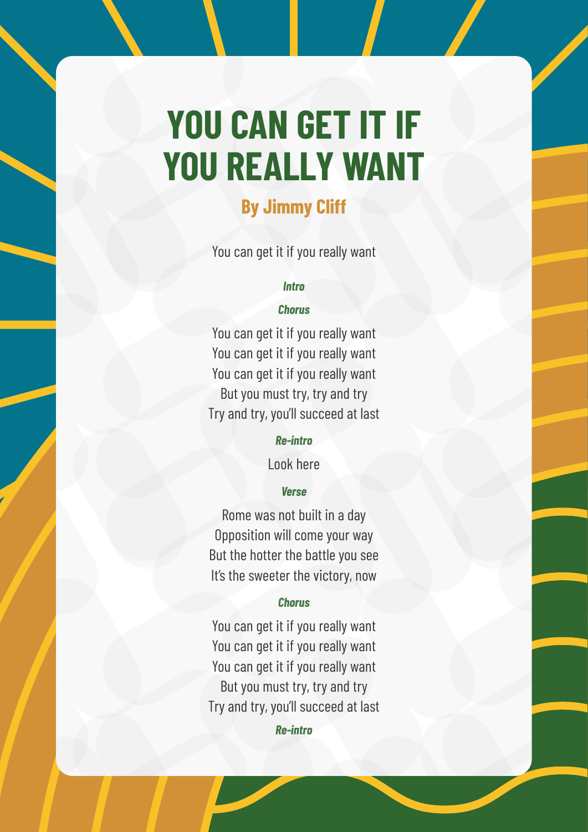# **YOU CAN GET IT IF YOU REALLY WANT**

## **By Jimmy Cliff**

You can get it if you really want

#### *Intro*

#### *Chorus*

You can get it if you really want You can get it if you really want You can get it if you really want But you must try, try and try Try and try, you'll succeed at last

#### *Re-intro*

Look here

#### *Verse*

Rome was not built in a day Opposition will come your way But the hotter the battle you see It's the sweeter the victory, now

#### *Chorus*

You can get it if you really want You can get it if you really want You can get it if you really want But you must try, try and try Try and try, you'll succeed at last

*Re-intro*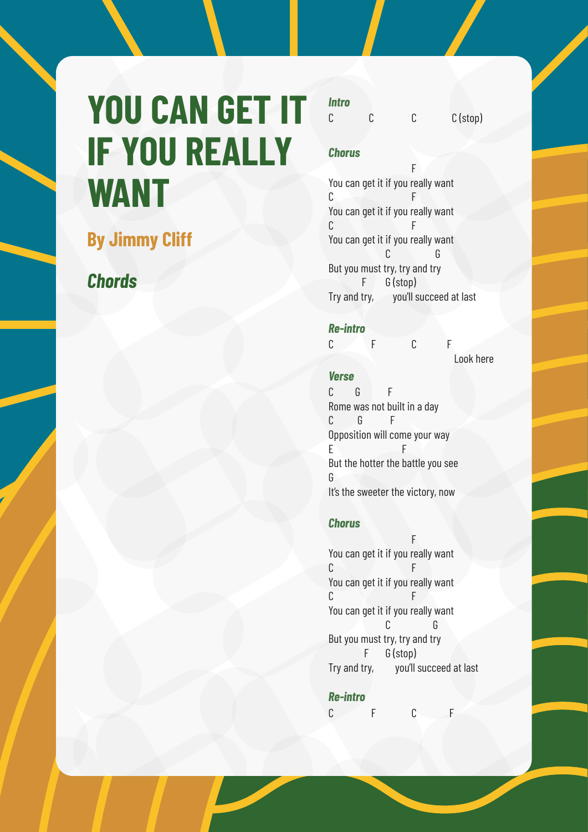# **YOU CAN GET IT IF YOU REALLY WANT**

# **By Jimmy Cliff**

*Chords*

#### *Intro* C C C C (stop)

#### *Chorus*

**Figure 1999** You can get it if you really want  $C \rightarrow F$ You can get it if you really want C F You can get it if you really want C G But you must try, try and try F G (stop) Try and try, you'll succeed at last

#### *Re-intro*

C F C F Look here

#### *Verse*

C G F Rome was not built in a day C G F Opposition will come your way E F But the hotter the battle you see G It's the sweeter the victory, now

#### *Chorus*

**State of the State of P** You can get it if you really want  $C \rightarrow$  F You can get it if you really want C<sub>D</sub> You can get it if you really want C G But you must try, try and try F G (stop) Try and try, you'll succeed at last

#### *Re-intro*

C F C F